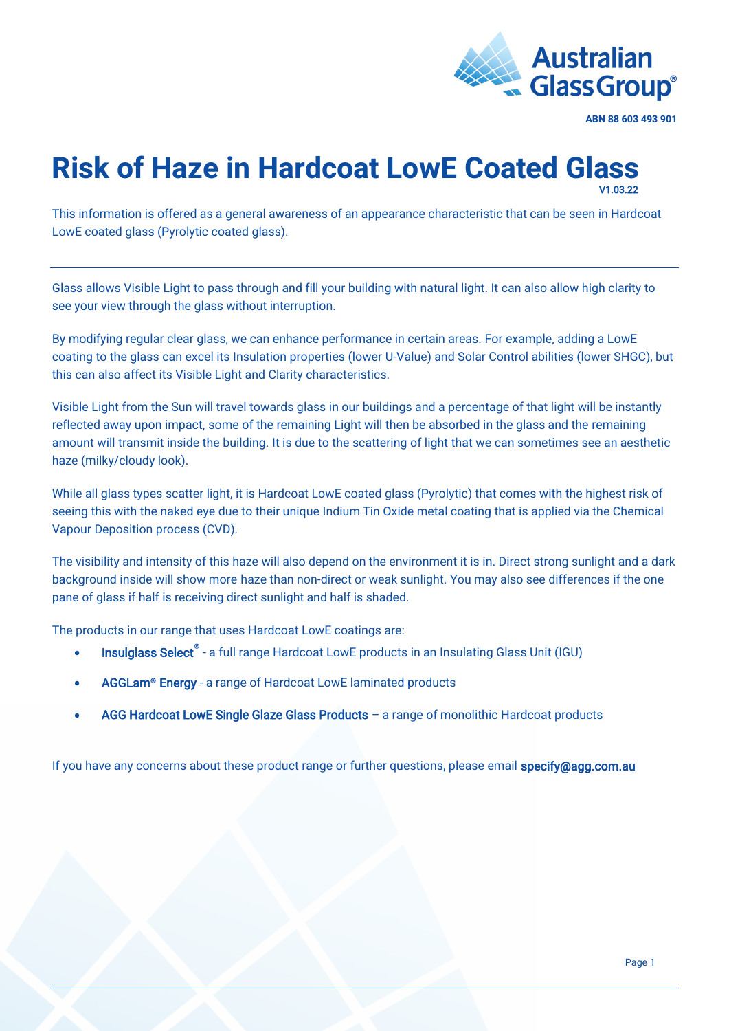

**ABN 88 603 493 901**

## **Risk of Haze in Hardcoat LowE Coated Glass**  V1.03.22

This information is offered as a general awareness of an appearance characteristic that can be seen in Hardcoat LowE coated glass (Pyrolytic coated glass).

Glass allows Visible Light to pass through and fill your building with natural light. It can also allow high clarity to see your view through the glass without interruption.

By modifying regular clear glass, we can enhance performance in certain areas. For example, adding a LowE coating to the glass can excel its Insulation properties (lower U-Value) and Solar Control abilities (lower SHGC), but this can also affect its Visible Light and Clarity characteristics.

Visible Light from the Sun will travel towards glass in our buildings and a percentage of that light will be instantly reflected away upon impact, some of the remaining Light will then be absorbed in the glass and the remaining amount will transmit inside the building. It is due to the scattering of light that we can sometimes see an aesthetic haze (milky/cloudy look).

While all glass types scatter light, it is Hardcoat LowE coated glass (Pyrolytic) that comes with the highest risk of seeing this with the naked eye due to their unique Indium Tin Oxide metal coating that is applied via the Chemical Vapour Deposition process (CVD).

The visibility and intensity of this haze will also depend on the environment it is in. Direct strong sunlight and a dark background inside will show more haze than non-direct or weak sunlight. You may also see differences if the one pane of glass if half is receiving direct sunlight and half is shaded.

The products in our range that uses Hardcoat LowE coatings are:

- [Insulglass Select](https://agg.com.au/product/insulglass-select/)**®** a full range Hardcoat LowE products in an Insulating Glass Unit (IGU)
- [AGGLam](https://agg.com.au/product/agglam-energy/)**®** Energy a range of Hardcoat LowE laminated products
- [AGG Hardcoat LowE Single Glaze Glass Products](https://agg.com.au/product/agg-lowe-single-glaze-glass-products/) a range of monolithic Hardcoat products

If you have any concerns about these product range or further questions, please email specify@agg.com.au